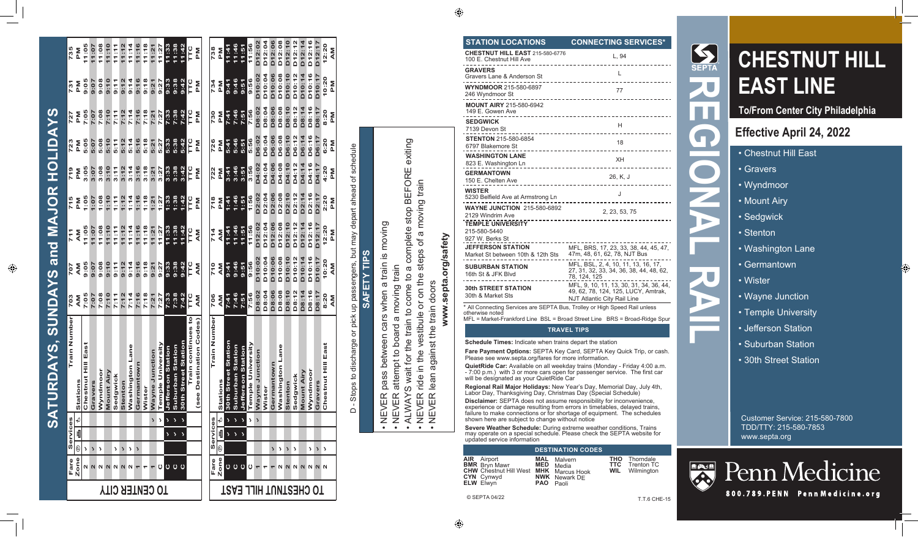### **STATION LOCATIONS CONNECTING SERVICES\***

| <b>CHESTNUT HILL EAST 215-580-6776</b><br>100 E. Chestnut Hill Ave | L, 94                                                                                                         |
|--------------------------------------------------------------------|---------------------------------------------------------------------------------------------------------------|
| <b>GRAVERS</b><br>Gravers Lane & Anderson St                       | L                                                                                                             |
| <b>WYNDMOOR 215-580-6897</b><br>246 Wyndmoor St                    | 77                                                                                                            |
| <b>MOUNT AIRY 215-580-6942</b><br>149 E. Gowen Ave                 |                                                                                                               |
| <b>SEDGWICK</b><br>7139 Devon St                                   | H<br>----------------------------------                                                                       |
| <b>STENTON 215-580-6854</b><br>6797 Blakemore St                   | 18<br>------------                                                                                            |
| <b>WASHINGTON LANE</b><br>823 E. Washington Ln                     | XH<br>____________________                                                                                    |
| <b>GERMANTOWN</b><br>150 E. Chelten Ave                            | 26, K, J<br>--------                                                                                          |
| <b>WISTER</b><br>5230 Belfield Ave at Armstrong Ln                 | J                                                                                                             |
| <b>WAYNE JUNCTION 215-580-6892</b><br>2129 Windrim Ave             | 2, 23, 53, 75                                                                                                 |
| <b>TEMPLE UNIVERSITY</b><br>215-580-5440<br>927 W. Berks St        |                                                                                                               |
| <b>JEFFERSON STATION</b><br>Market St between 10th & 12th Sts      | MFL, BRS, 17, 23, 33, 38, 44, 45, 47,<br>47m, 48, 61, 62, 78, NJT Bus                                         |
| <b>SUBURBAN STATION</b><br>16th St & JFK Blvd                      | MFL, BSL, 2, 4, 10, 11, 13, 16, 17,<br>27, 31, 32, 33, 34, 36, 38, 44, 48, 62,<br>78, 124, 125                |
| <b>30th STREET STATION</b><br>30th & Market Sts                    | MFL, 9, 10, 11, 13, 30, 31, 34, 36, 44,<br>49, 62, 78, 124, 125, LUCY, Amtrak,<br>NJT Atlantic City Rail Line |

\* All Connecting Services are SEPTA Bus, Trolley or High Speed Rail unless otherwise noted

MFL = Market-Frankford Line BSL = Broad Street Line BRS = Broad-Ridge Spur

#### **TRAVEL TIPS**

**Schedule Times:** Indicate when trains depart the station

**Fare Payment Options:** SEPTA Key Card, SEPTA Key Quick Trip, or cash. Please see www.septa.org/fares for more information.

**QuietRide Car:** Available on all weekday trains (Monday - Friday 4:00 a.m. - 7:00 p.m.) with 3 or more cars open for passenger service. The first car will be designated as your QuietRide Car

**Regional Rail Major Holidays:** New Year's Day, Memorial Day, July 4th, Labor Day, Thanksgiving Day, Christmas Day (Special Schedule)

**Disclaimer:** SEPTA does not assume responsibility for inconvenience, experience or damage resulting from errors in timetables, delayed trains, failure to make connections or for shortage of equipment. The schedules shown here are subject to change without notice

**Severe Weather Schedule:** During extreme weather conditions, Trains may operate on a special schedule. Please check the SEPTA website for updated service information

#### **DESTINATION CODES**

**AIR BMR CHW** Chestnut Hill West **MHK** Marcus Hook **CYN** Cynwyd **ELW** Elwyn Airport Bryn Mawr **MED PAO** Paoli

**MAL** Malvern **NWK** Newark DE Media

**Thorndale** Trenton TC Wilmington

**THO TTC WIL**



**To/From Center City Philadelphia**

# **Effective April 24, 2022**

- Chestnut Hill East
- Gravers
- Wyndmoor
- Mount Airy
- Sedgwick
- Stenton

**REGIONAL RAIL**

E

- Washington Lane
- Germantown
- Wister
- Wayne Junction
- Temple University
- Jefferson Station
- Suburban Station
- 30th Street Station

Customer Service: 215-580-7800 TDD/TTY: 215-580-7853 www.septa.org



Penn Medicine

800.789.PENN Penn Medicine.org

T.T.6 CHE-15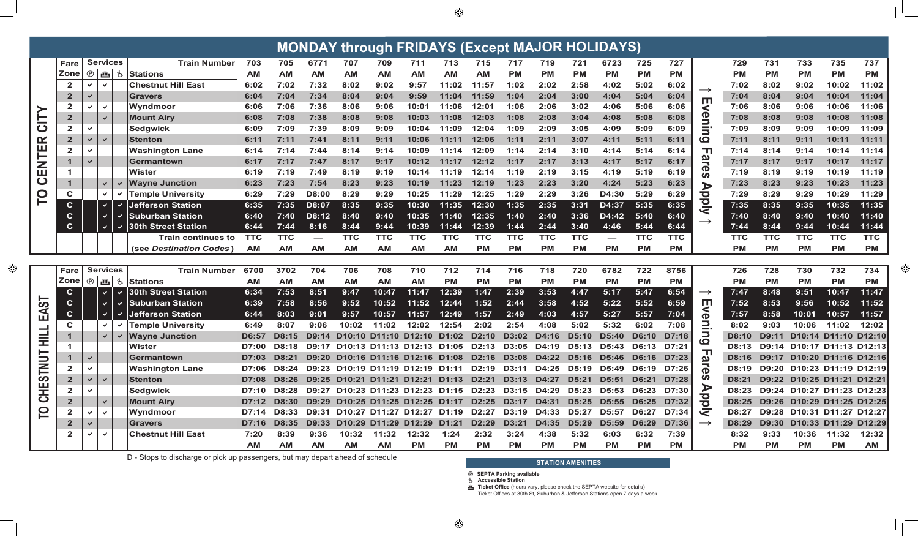| <b>MONDAY through FRIDAYS (Except MAJOR HOLIDAYS)</b> |                         |                              |              |                            |            |            |                          |            |                                       |                                                                                                                 |            |                    |              |            |              |                          |              |            |                         |              |              |            |                                  |                    |
|-------------------------------------------------------|-------------------------|------------------------------|--------------|----------------------------|------------|------------|--------------------------|------------|---------------------------------------|-----------------------------------------------------------------------------------------------------------------|------------|--------------------|--------------|------------|--------------|--------------------------|--------------|------------|-------------------------|--------------|--------------|------------|----------------------------------|--------------------|
|                                                       | <b>Fare</b>             | <b>Services</b>              |              | <b>Train Number</b>        | 703        | 705        | 6771                     | 707        | 709                                   | 711                                                                                                             | 713        | 715                | 717          | 719        | 721          | 6723                     | 725          | 727        |                         | 729          | 731          | 733        | 735                              | 737                |
|                                                       | <b>Zone</b>             | ŵ,<br>$^{\circ}$             | Ġ            | Stations                   | <b>AM</b>  | <b>AM</b>  | <b>AM</b>                | <b>AM</b>  | <b>AM</b>                             | <b>AM</b>                                                                                                       | <b>AM</b>  | <b>AM</b>          | <b>PM</b>    | <b>PM</b>  | <b>PM</b>    | <b>PM</b>                | <b>PM</b>    | <b>PM</b>  |                         | <b>PM</b>    | <b>PM</b>    | <b>PM</b>  | <b>PM</b>                        | <b>PM</b>          |
|                                                       | $\mathbf{2}$            |                              |              | <b>Chestnut Hill East</b>  | 6:02       | 7:02       | 7:32                     | 8:02       | 9:02                                  | 9:57                                                                                                            | 11:02      | 11:57              | 1:02         | 2:02       | 2:58         | 4:02                     | 5:02         | 6:02       |                         | 7:02         | 8:02         | 9:02       | 10:02                            | 11:02              |
|                                                       | $\mathbf{2}$            |                              |              | <b>Gravers</b>             | 6:04       | 7:04       | 7:34                     | 8:04       | 9:04                                  | 9:59                                                                                                            | 11:04      | 11:59              | 1:04         | 2:04       | 3:00         | 4:04                     | 5:04         | 6:04       | Ш                       | 7:04         | 8:04         | 9:04       | 10:04                            | 11:04              |
|                                                       | $\mathbf{2}$            | $\checkmark$                 |              | Wyndmoor                   | 6:06       | 7:06       | 7:36                     | 8:06       | 9:06                                  | 10:01                                                                                                           | 11:06      | 12:01              | 1:06         | 2:06       | 3:02         | 4:06                     | 5:06         | 6:06       |                         | 7:06         | 8:06         | 9:06       | 10:06                            | 11:06              |
| $\equiv$                                              | $\overline{\mathbf{2}}$ | $\checkmark$                 |              | <b>Mount Airy</b>          | 6:08       | 7:08       | 7:38                     | 8:08       | 9:08                                  | 10:03                                                                                                           | 11:08      | 12:03              | 1:08         | 2:08       | 3:04         | 4:08                     | 5:08         | 6:08       | Œ                       | 7:08         | 8:08         | 9:08       | 10:08                            | 11:08              |
| $\mathbf C$                                           | $\mathbf{2}$            |                              |              | Sedgwick                   | 6:09       | 7:09       | 7:39                     | 8:09       | 9:09                                  | 10:04                                                                                                           | 11:09      | 12:04              | 1:09         | 2:09       | 3:05         | 4:09                     | 5:09         | 6:09       | وسير                    | 7:09         | 8:09         | 9:09       | 10:09                            | 11:09              |
| <u>ଜ</u>                                              | $\overline{2}$          | $\checkmark$                 |              | <b>Stenton</b>             | 6:11       | 7:11       | 7:41                     | 8:11       | 9:11                                  | 10:06                                                                                                           | 11:11      | 12:06              | 1:11         | 2:11       | 3:07         | 4:11                     | 5:11         | 6:11       | $\boldsymbol{\omega}$   | 7:11         | 8:11         | 9:11       | 10:11                            | 11:11              |
| ENTE                                                  | $\mathbf{2}$            |                              |              | <b>Washington Lane</b>     | 6:14       | 7:14       | 7:44                     | 8:14       | 9:14                                  | 10:09                                                                                                           | 11:14      | 12:09              | 1:14         | 2:14       | 3:10         | 4:14                     | 5:14         | 6:14       | ╖                       | 7:14         | 8:14         | 9:14       | 10:14                            | 11:14              |
|                                                       |                         |                              |              | <b>Germantown</b>          | 6:17       | 7:17       | 7:47                     | 8:17       | 9:17                                  | 10:12                                                                                                           | 11:17      | 12:12              | 1:17         | 2:17       | 3:13         | 4:17                     | 5:17         | 6:17       |                         | 7:17         | 8:17         | 9:17       | 10:17                            | 11:17              |
|                                                       |                         |                              |              | Wister                     | 6:19       | 7:19       | 7:49                     | 8:19       | 9:19                                  | 10:14                                                                                                           | 11:19      | 12:14              | 1:19         | 2:19       | 3:15         | 4:19                     | 5:19         | 6:19       | P                       | 7:19         | 8:19         | 9:19       | 10:19                            | 11:19              |
| $\mathbf C$                                           |                         | $\checkmark$                 |              | <b>Wayne Junction</b>      | 6:23       | 7:23       | 7:54                     | 8:23       | 9:23                                  | 10:19                                                                                                           | 11:23      | 12:19              | 1:23         | 2:23       | 3:20         | 4:24                     | 5:23         | 6:23       |                         | 7:23         | 8:23         | 9:23       | 10:23                            | 11:23              |
| <u>p</u>                                              | C                       | $\checkmark$                 |              | <b>Temple University</b>   | 6:29       | 7:29       | D8:00                    | 8:29       | 9:29                                  | 10:25                                                                                                           | 11:29      | 12:25              | 1:29         | 2:29       | 3:26         | D4:30                    | 5:29         | 6:29       | $\overline{\mathbf{C}}$ | 7:29         | 8:29         | 9:29       | 10:29                            | 11:29              |
|                                                       | $\mathbf c$             | $\checkmark$                 |              | <b>Jefferson Station</b>   | 6:35       | 7:35       | D8:07                    | 8:35       | 9:35                                  | 10:30                                                                                                           | 11:35      | 12:30              | 1:35         | 2:35       | 3:31         | D4:37                    | 5:35         | 6:35       | <b>DI</b>               | 7:35         | 8:35         | 9:35       | 10:35                            | 11:35              |
|                                                       | $\mathbf c$             | $\checkmark$                 |              | <b>Suburban Station</b>    | 6:40       | 7:40       | D8:12                    | 8:40       | 9:40                                  | 10:35                                                                                                           | 11:40      | 12:35              | 1:40         | 2:40       | 3:36         | D4:42                    | 5:40         | 6:40       | $\longrightarrow$       | 7:40         | 8:40         | 9:40       | 10:40                            | 11:40              |
|                                                       | $\mathbf c$             | $\blacktriangledown$         | $\checkmark$ | <b>30th Street Station</b> | 6:44       | 7:44       | 8:16                     | 8:44       | 9:44                                  | 10:39                                                                                                           | 11:44      | 12:39              | 1:44         | 2:44       | 3:40         | 4:46                     | 5:44         | 6:44       |                         | 7:44         | 8:44         | 9:44       | 10:44                            | 11:44              |
|                                                       |                         |                              |              | <b>Train continues to</b>  | <b>TTC</b> | <b>TTC</b> | $\overline{\phantom{0}}$ | <b>TTC</b> | <b>TTC</b>                            | <b>TTC</b>                                                                                                      | <b>TTC</b> | <b>TTC</b>         | <b>TTC</b>   | <b>TTC</b> | <b>TTC</b>   | $\overline{\phantom{a}}$ | <b>TTC</b>   | <b>TTC</b> |                         | <b>TTC</b>   | <b>TTC</b>   | <b>TTC</b> | <b>TTC</b>                       | <b>TTC</b>         |
|                                                       |                         |                              |              | (see Destination Codes)    | <b>AM</b>  | <b>AM</b>  | <b>AM</b>                | <b>AM</b>  | <b>AM</b>                             | <b>AM</b>                                                                                                       | <b>AM</b>  | <b>PM</b>          | <b>PM</b>    | <b>PM</b>  | <b>PM</b>    | <b>PM</b>                | <b>PM</b>    | <b>PM</b>  |                         | <b>PM</b>    | <b>PM</b>    | <b>PM</b>  | <b>PM</b>                        | <b>PM</b>          |
|                                                       |                         |                              |              |                            |            |            |                          |            |                                       |                                                                                                                 |            |                    |              |            |              |                          |              |            |                         |              |              |            |                                  |                    |
|                                                       | <b>Fare</b>             | <b>Services</b>              |              | <b>Train Number</b>        | 6700       | 3702       | 704                      | 706        | 708                                   | 710                                                                                                             | 712        | 714                | 716          | 718        | 720          | 6782                     | 722          | 8756       |                         | 726          | 728          | 730        | 732                              | 734                |
|                                                       | <b>Zone</b>             | $\circledcirc$               | 画も           | <b>Stations</b>            | <b>AM</b>  | <b>AM</b>  | <b>AM</b>                | <b>AM</b>  | <b>AM</b>                             | <b>AM</b>                                                                                                       | <b>PM</b>  | <b>PM</b>          | <b>PM</b>    | <b>PM</b>  | <b>PM</b>    | <b>PM</b>                | <b>PM</b>    | <b>PM</b>  |                         | <b>PM</b>    | <b>PM</b>    | <b>PM</b>  | <b>PM</b>                        | PM                 |
|                                                       | $\mathbf c$             | $\blacktriangledown$         |              | <b>30th Street Station</b> | 6:34       | 7:53       | 8:51                     | 9:47       | 10:47                                 | 11:47                                                                                                           | 12:39      | 1:47               | 2:39         | 3:53       | 4:47         | 5:17                     | 5:47         | 6:54       | $\longrightarrow$       | 7:47         | 8:48         | 9:51       | 10:47                            | 11:47              |
| 5                                                     | C                       | $\checkmark$                 |              | <b>Suburban Station</b>    | 6:39       | 7:58       | 8:56                     | 9:52       | 10:52                                 | 11:52                                                                                                           | 12:44      | 1:52               | 2:44         | 3:58       | 4:52         | 5:22                     | 5:52         | 6:59       | Ш                       | 7:52         | 8:53         | 9:56       | 10:52                            | 11:52              |
| ⋖<br>Щ                                                | $\mathbf{C}$            | $\blacktriangledown$         |              | <b>Jefferson Station</b>   | 6:44       | 8:03       | 9:01                     | 9:57       | 10:57                                 | 11:57                                                                                                           | 12:49      | 1:57               | 2:49         | 4:03       | 4:57         | 5:27                     | 5:57         | 7:04       | P                       | 7:57         | 8:58         | 10:01      | 10:57                            | 11:57              |
|                                                       | C                       | $\checkmark$                 |              | <b>Temple University</b>   | 6:49       | 8:07       | 9:06                     | 10:02      | 11:02                                 | 12:02                                                                                                           | 12:54      | 2:02               | 2:54         | 4:08       | 5:02         | 5:32                     | 6:02         | 7:08       |                         | 8:02         | 9:03         | 10:06      | 11:02                            | 12:02              |
| 」<br>로                                                |                         | $\checkmark$                 |              | <b>Wayne Junction</b>      | D6:57      | D8:15      | D9:14                    |            |                                       | D10:10 D11:10 D12:10 D1:02                                                                                      |            | D <sub>2</sub> :10 | <b>D3:02</b> | D4:16      | <b>D5:10</b> | <b>D5:40</b>             | <b>D6:10</b> | D7:18      | <u>ထ</u>                | <b>D8:10</b> | <b>D9:11</b> |            | D10:14 D11:10                    | D <sub>12:10</sub> |
|                                                       |                         |                              |              | Wister                     | D7:00      | D8:18      | D9:17                    |            | D <sub>10:13</sub> D <sub>11:13</sub> | D12:13                                                                                                          | D1:05      | D <sub>2</sub> :13 | D3:05        | D4:19      | <b>D5:13</b> | D5:43                    | D6:13        | D7:21      | ╖                       | D8:13        |              |            | D9:14 D10:17 D11:13              | D <sub>12:13</sub> |
| TNUT                                                  |                         |                              |              | Germantown                 | D7:03      | D8:21      | D9:20                    |            |                                       | D10:16 D11:16 D12:16                                                                                            | D1:08      | D <sub>2</sub> :16 | <b>D3:08</b> | D4:22      | D5:16        | D5:46                    | <b>D6:16</b> | D7:23      |                         | D8:16        |              |            | D9:17 D10:20 D11:16              | D12:16             |
|                                                       | $\mathbf{2}$            |                              |              | <b>Washington Lane</b>     | D7:06      | D8:24      | D9:23                    |            |                                       | D10:19 D11:19 D12:19 D1:11                                                                                      |            | D2:19              | D3:11        | D4:25      | D5:19        | D5:49                    | D6:19        | D7:26      | Œ                       | D8:19        |              |            | D9:20 D10:23 D11:19 D12:19       |                    |
| တ                                                     | $\overline{\mathbf{2}}$ | $\checkmark$<br>$\checkmark$ |              | <b>Stenton</b>             |            |            |                          |            |                                       | D7:08 D8:26 D9:25 D10:21 D11:21 D12:21 D1:13 D2:21 D3:13 D4:27 D5:21 D5:51 D6:21 D7:28 0                        |            |                    |              |            |              |                          |              |            |                         |              |              |            | D8:21 D9:22 D10:25 D11:21 D12:21 |                    |
| <b>CHE</b>                                            | $\mathbf{2}$            | $\checkmark$                 |              | <b>Sedgwick</b>            |            |            |                          |            |                                       | D7:10 D8:28 D9:27 D10:23 D11:23 D12:23 D1:15 D2:23 D3:15 D4:29 D5:23 D5:53 D6:23 D7:30 D                        |            |                    |              |            |              |                          |              |            |                         |              |              |            | D8:23 D9:24 D10:27 D11:23 D12:23 |                    |
|                                                       | $\mathbf{2}$            | $\checkmark$                 |              | <b>Mount Airy</b>          |            |            |                          |            |                                       | D7:12 D8:30 D9:29 D10:25 D11:25 D12:25 D1:17 D2:25 D3:17 D4:31 D5:25 D5:55 D6:25 D7:32 D                        |            |                    |              |            |              |                          |              |            |                         |              |              |            | D8:25 D9:26 D10:29 D11:25 D12:25 |                    |
| $\overline{P}$                                        | $\mathbf{2}$            | $\checkmark$                 |              | Wyndmoor                   |            |            |                          |            |                                       | D7:14 D8:33 D9:31 D10:27 D11:27 D12:27 D1:19 D2:27 D3:19 D4:33 D5:27 D5:57 D6:27 D7:34 $\overline{\mathcal{Q}}$ |            |                    |              |            |              |                          |              |            |                         |              |              |            | D8:27 D9:28 D10:31 D11:27 D12:27 |                    |
|                                                       | $\mathbf{2}$            |                              |              | Gravers                    |            |            |                          |            |                                       | D7:16 D8:35 D9:33 D10:29 D11:29 D12:29 D1:21 D2:29 D3:21 D4:35 D5:29 D5:59 D6:29 D7:36 $\rightarrow$            |            |                    |              |            |              |                          |              |            |                         | <b>D8:29</b> |              |            | D9:30 D10:33 D11:29 D12:29       |                    |
|                                                       | $\mathbf{2}$            | $\checkmark$                 |              | <b>Chestnut Hill East</b>  | 7:20       | 8:39       | 9:36                     |            | 10:32  11:32  12:32                   |                                                                                                                 | 1:24       | 2:32               | 3:24         | 4:38       | 5:32         | 6:03                     | 6:32         | 7:39       |                         | 8:32         | 9:33         |            | 10:36  11:32  12:32              |                    |
|                                                       |                         |                              |              |                            | AM         | <b>AM</b>  | AM                       | <b>AM</b>  | AM                                    | <b>PM</b>                                                                                                       | <b>PM</b>  | <b>PM</b>          | <b>PM</b>    | <b>PM</b>  | <b>PM</b>    | <b>PM</b>                | <b>PM</b>    | <b>PM</b>  |                         | <b>PM</b>    | <b>PM</b>    | <b>PM</b>  | <b>PM</b>                        | AM                 |

D - Stops to discharge or pick up passengers, but may depart ahead of schedule

### **STATION AMENITIES**

- **⑦ SEPTA Parking available**<br>も Accessible Station
- 

Ticket Office (hours vary, please check the SEPTA website for details)<br>Ticket Offices at 30th St, Suburban & Jefferson Stations open 7 days a week